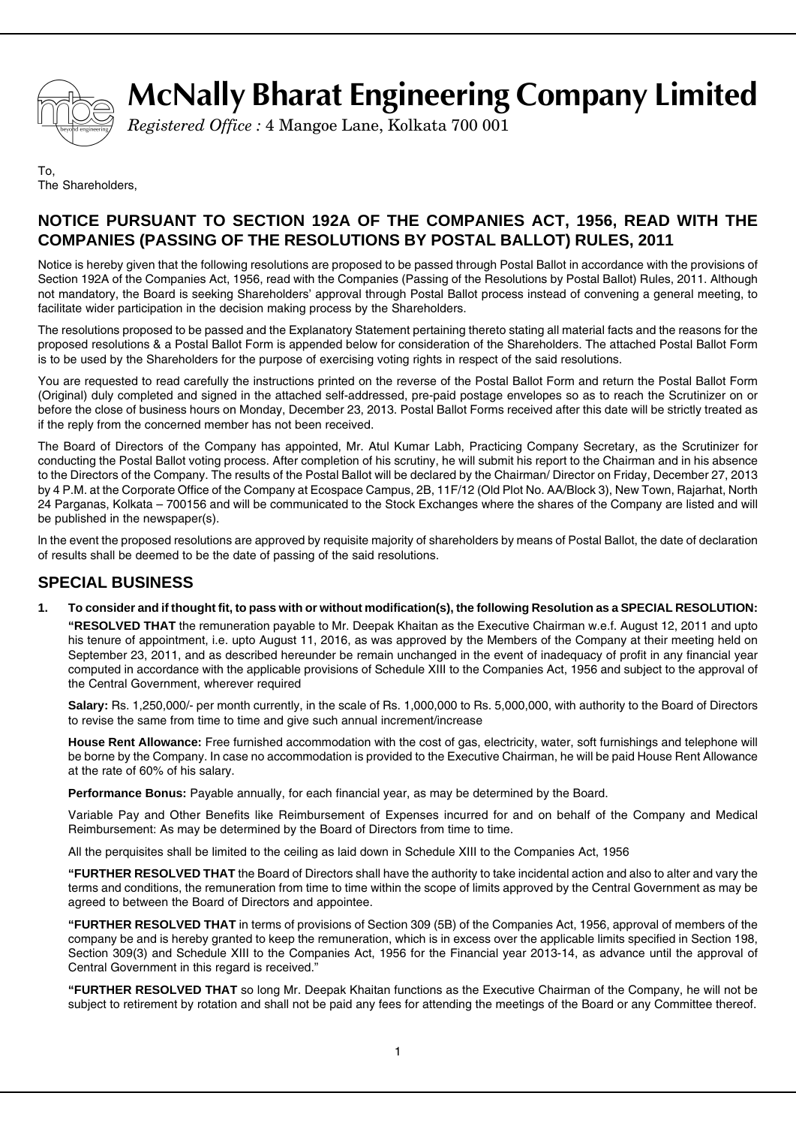

# **McNally Bharat Engineering Company Limited**

*Registered Office :* 4 Mangoe Lane, Kolkata 700 001

To, The Shareholders,

# **NOTICE PURSUANT TO SECTION 192A OF THE COMPANIES ACT, 1956, READ WITH THE COMPANIES (PASSING OF THE RESOLUTIONS BY POSTAL BALLOT) RULES, 2011**

Notice is hereby given that the following resolutions are proposed to be passed through Postal Ballot in accordance with the provisions of Section 192A of the Companies Act, 1956, read with the Companies (Passing of the Resolutions by Postal Ballot) Rules, 2011. Although not mandatory, the Board is seeking Shareholders' approval through Postal Ballot process instead of convening a general meeting, to facilitate wider participation in the decision making process by the Shareholders.

The resolutions proposed to be passed and the Explanatory Statement pertaining thereto stating all material facts and the reasons for the proposed resolutions & a Postal Ballot Form is appended below for consideration of the Shareholders. The attached Postal Ballot Form is to be used by the Shareholders for the purpose of exercising voting rights in respect of the said resolutions.

You are requested to read carefully the instructions printed on the reverse of the Postal Ballot Form and return the Postal Ballot Form (Original) duly completed and signed in the attached self-addressed, pre-paid postage envelopes so as to reach the Scrutinizer on or before the close of business hours on Monday, December 23, 2013. Postal Ballot Forms received after this date will be strictly treated as if the reply from the concerned member has not been received.

The Board of Directors of the Company has appointed, Mr. Atul Kumar Labh, Practicing Company Secretary, as the Scrutinizer for conducting the Postal Ballot voting process. After completion of his scrutiny, he will submit his report to the Chairman and in his absence to the Directors of the Company. The results of the Postal Ballot will be declared by the Chairman/ Director on Friday, December 27, 2013 by 4 P.M. at the Corporate Office of the Company at Ecospace Campus, 2B, 11F/12 (Old Plot No. AA/Block 3), New Town, Rajarhat, North 24 Parganas, Kolkata – 700156 and will be communicated to the Stock Exchanges where the shares of the Company are listed and will be published in the newspaper(s).

ln the event the proposed resolutions are approved by requisite majority of shareholders by means of Postal Ballot, the date of declaration of results shall be deemed to be the date of passing of the said resolutions.

# **SPECIAL BUSINESS**

**1. To consider and if thought fit, to pass with or without modification(s), the following Resolution as a SPECIAL RESOLUTION:**

**"RESOLVED THAT** the remuneration payable to Mr. Deepak Khaitan as the Executive Chairman w.e.f. August 12, 2011 and upto his tenure of appointment, i.e. upto August 11, 2016, as was approved by the Members of the Company at their meeting held on September 23, 2011, and as described hereunder be remain unchanged in the event of inadequacy of profit in any financial year computed in accordance with the applicable provisions of Schedule XIII to the Companies Act, 1956 and subject to the approval of the Central Government, wherever required

**Salary:** Rs. 1,250,000/- per month currently, in the scale of Rs. 1,000,000 to Rs. 5,000,000, with authority to the Board of Directors to revise the same from time to time and give such annual increment/increase

**House Rent Allowance:** Free furnished accommodation with the cost of gas, electricity, water, soft furnishings and telephone will be borne by the Company. In case no accommodation is provided to the Executive Chairman, he will be paid House Rent Allowance at the rate of 60% of his salary.

**Performance Bonus:** Payable annually, for each financial year, as may be determined by the Board.

Variable Pay and Other Benefits like Reimbursement of Expenses incurred for and on behalf of the Company and Medical Reimbursement: As may be determined by the Board of Directors from time to time.

All the perquisites shall be limited to the ceiling as laid down in Schedule XIII to the Companies Act, 1956

**"FURTHER RESOLVED THAT** the Board of Directors shall have the authority to take incidental action and also to alter and vary the terms and conditions, the remuneration from time to time within the scope of limits approved by the Central Government as may be agreed to between the Board of Directors and appointee.

**"FURTHER RESOLVED THAT** in terms of provisions of Section 309 (5B) of the Companies Act, 1956, approval of members of the company be and is hereby granted to keep the remuneration, which is in excess over the applicable limits specified in Section 198, Section 309(3) and Schedule XIII to the Companies Act, 1956 for the Financial year 2013-14, as advance until the approval of Central Government in this regard is received."

**"FURTHER RESOLVED THAT** so long Mr. Deepak Khaitan functions as the Executive Chairman of the Company, he will not be subject to retirement by rotation and shall not be paid any fees for attending the meetings of the Board or any Committee thereof.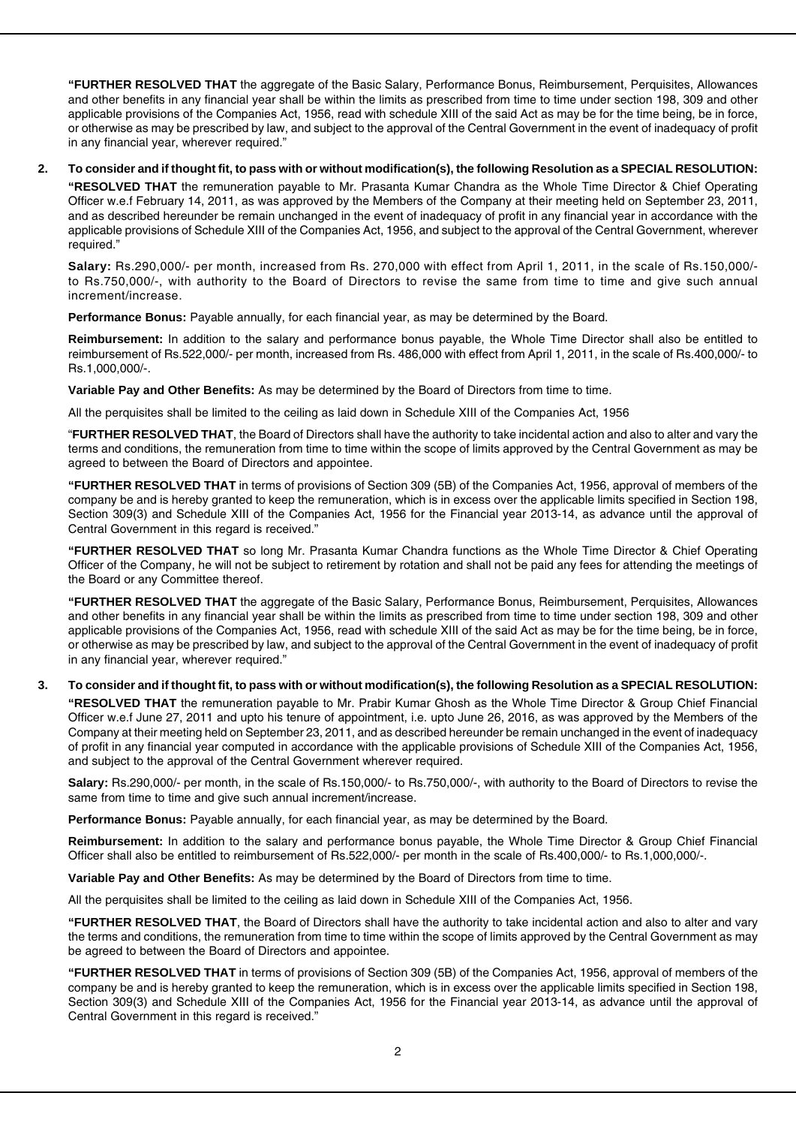**"FURTHER RESOLVED THAT** the aggregate of the Basic Salary, Performance Bonus, Reimbursement, Perquisites, Allowances and other benefits in any financial year shall be within the limits as prescribed from time to time under section 198, 309 and other applicable provisions of the Companies Act, 1956, read with schedule XIII of the said Act as may be for the time being, be in force, or otherwise as may be prescribed by law, and subject to the approval of the Central Government in the event of inadequacy of profit in any financial year, wherever required."

#### **2. To consider and if thought fit, to pass with or without modification(s), the following Resolution as a SPECIAL RESOLUTION:**

**"RESOLVED THAT** the remuneration payable to Mr. Prasanta Kumar Chandra as the Whole Time Director & Chief Operating Officer w.e.f February 14, 2011, as was approved by the Members of the Company at their meeting held on September 23, 2011, and as described hereunder be remain unchanged in the event of inadequacy of profit in any financial year in accordance with the applicable provisions of Schedule XIII of the Companies Act, 1956, and subject to the approval of the Central Government, wherever required."

**Salary:** Rs.290,000/- per month, increased from Rs. 270,000 with effect from April 1, 2011, in the scale of Rs.150,000/ to Rs.750,000/-, with authority to the Board of Directors to revise the same from time to time and give such annual increment/increase.

**Performance Bonus:** Payable annually, for each financial year, as may be determined by the Board.

**Reimbursement:** In addition to the salary and performance bonus payable, the Whole Time Director shall also be entitled to reimbursement of Rs.522,000/- per month, increased from Rs. 486,000 with effect from April 1, 2011, in the scale of Rs.400,000/- to Rs.1,000,000/-.

**Variable Pay and Other Benefits:** As may be determined by the Board of Directors from time to time.

All the perquisites shall be limited to the ceiling as laid down in Schedule XIII of the Companies Act, 1956

"**FURTHER RESOLVED THAT**, the Board of Directors shall have the authority to take incidental action and also to alter and vary the terms and conditions, the remuneration from time to time within the scope of limits approved by the Central Government as may be agreed to between the Board of Directors and appointee.

**"FURTHER RESOLVED THAT** in terms of provisions of Section 309 (5B) of the Companies Act, 1956, approval of members of the company be and is hereby granted to keep the remuneration, which is in excess over the applicable limits specified in Section 198, Section 309(3) and Schedule XIII of the Companies Act, 1956 for the Financial year 2013-14, as advance until the approval of Central Government in this regard is received."

**"FURTHER RESOLVED THAT** so long Mr. Prasanta Kumar Chandra functions as the Whole Time Director & Chief Operating Officer of the Company, he will not be subject to retirement by rotation and shall not be paid any fees for attending the meetings of the Board or any Committee thereof.

**"FURTHER RESOLVED THAT** the aggregate of the Basic Salary, Performance Bonus, Reimbursement, Perquisites, Allowances and other benefits in any financial year shall be within the limits as prescribed from time to time under section 198, 309 and other applicable provisions of the Companies Act, 1956, read with schedule XIII of the said Act as may be for the time being, be in force, or otherwise as may be prescribed by law, and subject to the approval of the Central Government in the event of inadequacy of profit in any financial year, wherever required."

## **3. To consider and if thought fit, to pass with or without modification(s), the following Resolution as a SPECIAL RESOLUTION:**

**"RESOLVED THAT** the remuneration payable to Mr. Prabir Kumar Ghosh as the Whole Time Director & Group Chief Financial Officer w.e.f June 27, 2011 and upto his tenure of appointment, i.e. upto June 26, 2016, as was approved by the Members of the Company at their meeting held on September 23, 2011, and as described hereunder be remain unchanged in the event of inadequacy of profit in any financial year computed in accordance with the applicable provisions of Schedule XIII of the Companies Act, 1956, and subject to the approval of the Central Government wherever required.

**Salary:** Rs.290,000/- per month, in the scale of Rs.150,000/- to Rs.750,000/-, with authority to the Board of Directors to revise the same from time to time and give such annual increment/increase.

**Performance Bonus:** Payable annually, for each financial year, as may be determined by the Board.

**Reimbursement:** In addition to the salary and performance bonus payable, the Whole Time Director & Group Chief Financial Officer shall also be entitled to reimbursement of Rs.522,000/- per month in the scale of Rs.400,000/- to Rs.1,000,000/-.

**Variable Pay and Other Benefits:** As may be determined by the Board of Directors from time to time.

All the perquisites shall be limited to the ceiling as laid down in Schedule XIII of the Companies Act, 1956.

**"FURTHER RESOLVED THAT**, the Board of Directors shall have the authority to take incidental action and also to alter and vary the terms and conditions, the remuneration from time to time within the scope of limits approved by the Central Government as may be agreed to between the Board of Directors and appointee.

**"FURTHER RESOLVED THAT** in terms of provisions of Section 309 (5B) of the Companies Act, 1956, approval of members of the company be and is hereby granted to keep the remuneration, which is in excess over the applicable limits specified in Section 198, Section 309(3) and Schedule XIII of the Companies Act, 1956 for the Financial year 2013-14, as advance until the approval of Central Government in this regard is received."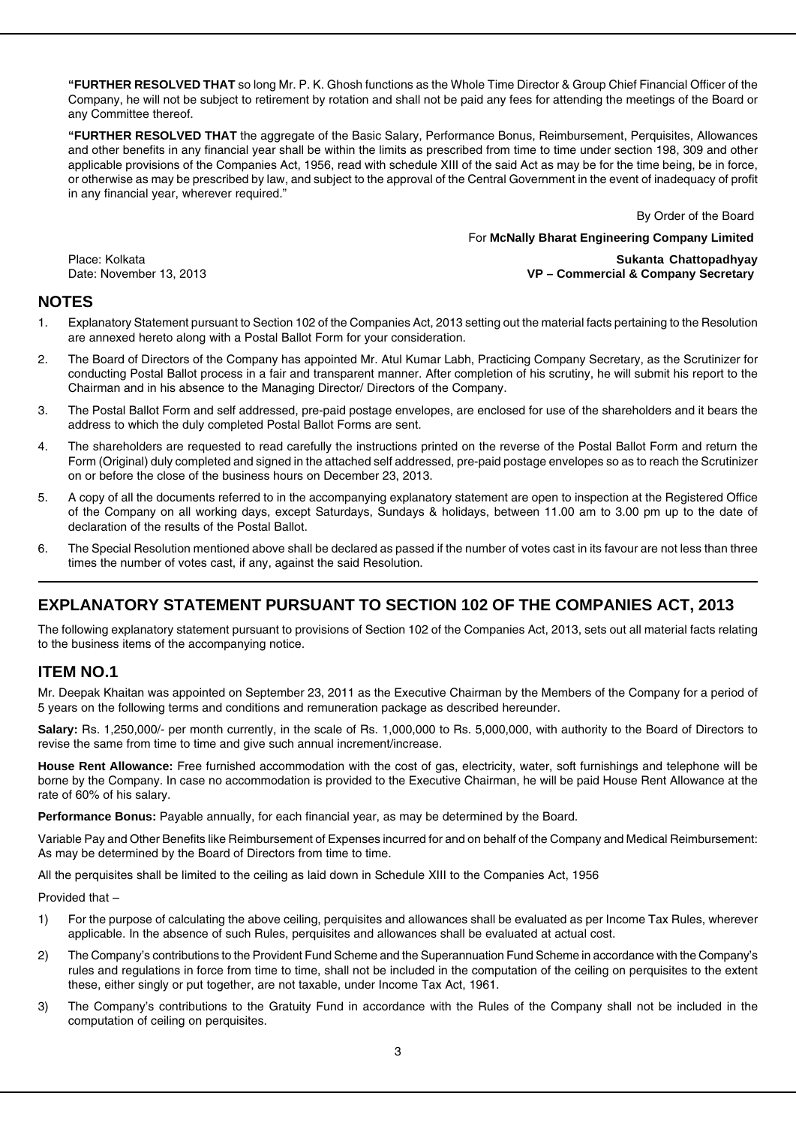**"FURTHER RESOLVED THAT** so long Mr. P. K. Ghosh functions as the Whole Time Director & Group Chief Financial Officer of the Company, he will not be subject to retirement by rotation and shall not be paid any fees for attending the meetings of the Board or any Committee thereof.

**"FURTHER RESOLVED THAT** the aggregate of the Basic Salary, Performance Bonus, Reimbursement, Perquisites, Allowances and other benefits in any financial year shall be within the limits as prescribed from time to time under section 198, 309 and other applicable provisions of the Companies Act, 1956, read with schedule XIII of the said Act as may be for the time being, be in force, or otherwise as may be prescribed by law, and subject to the approval of the Central Government in the event of inadequacy of profit in any financial year, wherever required."

By Order of the Board

For **McNally Bharat Engineering Company Limited**

Place: Kolkata **Sukanta Chattopadhyay** Date: November 13, 2013 **VP – Commercial & Company Secretary**

# **NOTES**

- 1. Explanatory Statement pursuant to Section 102 of the Companies Act, 2013 setting out the material facts pertaining to the Resolution are annexed hereto along with a Postal Ballot Form for your consideration.
- 2. The Board of Directors of the Company has appointed Mr. Atul Kumar Labh, Practicing Company Secretary, as the Scrutinizer for conducting Postal Ballot process in a fair and transparent manner. After completion of his scrutiny, he will submit his report to the Chairman and in his absence to the Managing Director/ Directors of the Company.
- 3. The Postal Ballot Form and self addressed, pre-paid postage envelopes, are enclosed for use of the shareholders and it bears the address to which the duly completed Postal Ballot Forms are sent.
- 4. The shareholders are requested to read carefully the instructions printed on the reverse of the Postal Ballot Form and return the Form (Original) duly completed and signed in the attached self addressed, pre-paid postage envelopes so as to reach the Scrutinizer on or before the close of the business hours on December 23, 2013.
- 5. A copy of all the documents referred to in the accompanying explanatory statement are open to inspection at the Registered Office of the Company on all working days, except Saturdays, Sundays & holidays, between 11.00 am to 3.00 pm up to the date of declaration of the results of the Postal Ballot.
- 6. The Special Resolution mentioned above shall be declared as passed if the number of votes cast in its favour are not less than three times the number of votes cast, if any, against the said Resolution.

# **EXPLANATORY STATEMENT PURSUANT TO SECTION 102 OF THE COMPANIES ACT, 2013**

The following explanatory statement pursuant to provisions of Section 102 of the Companies Act, 2013, sets out all material facts relating to the business items of the accompanying notice.

## **ITEM NO.1**

Mr. Deepak Khaitan was appointed on September 23, 2011 as the Executive Chairman by the Members of the Company for a period of 5 years on the following terms and conditions and remuneration package as described hereunder.

**Salary:** Rs. 1,250,000/- per month currently, in the scale of Rs. 1,000,000 to Rs. 5,000,000, with authority to the Board of Directors to revise the same from time to time and give such annual increment/increase.

**House Rent Allowance:** Free furnished accommodation with the cost of gas, electricity, water, soft furnishings and telephone will be borne by the Company. In case no accommodation is provided to the Executive Chairman, he will be paid House Rent Allowance at the rate of 60% of his salary.

**Performance Bonus:** Payable annually, for each financial year, as may be determined by the Board.

Variable Pay and Other Benefits like Reimbursement of Expenses incurred for and on behalf of the Company and Medical Reimbursement: As may be determined by the Board of Directors from time to time.

All the perquisites shall be limited to the ceiling as laid down in Schedule XIII to the Companies Act, 1956

Provided that –

- 1) For the purpose of calculating the above ceiling, perquisites and allowances shall be evaluated as per Income Tax Rules, wherever applicable. In the absence of such Rules, perquisites and allowances shall be evaluated at actual cost.
- 2) The Company's contributions to the Provident Fund Scheme and the Superannuation Fund Scheme in accordance with the Company's rules and regulations in force from time to time, shall not be included in the computation of the ceiling on perquisites to the extent these, either singly or put together, are not taxable, under Income Tax Act, 1961.
- 3) The Company's contributions to the Gratuity Fund in accordance with the Rules of the Company shall not be included in the computation of ceiling on perquisites.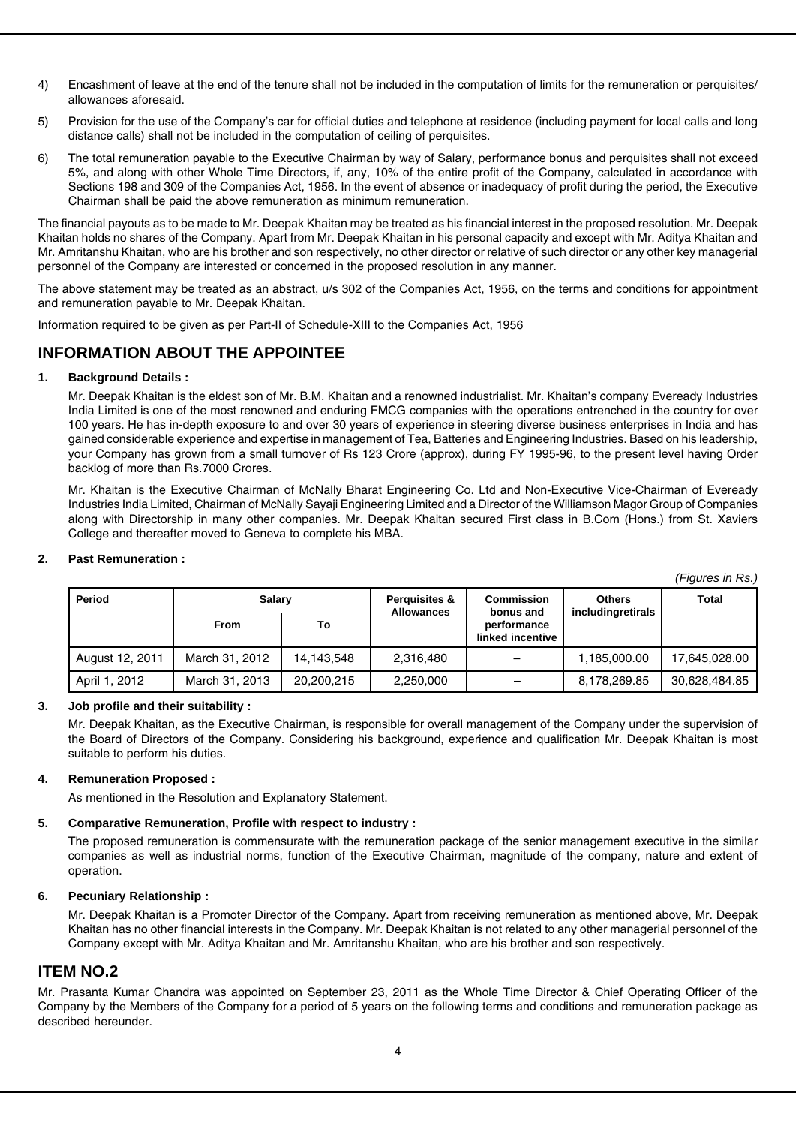- 4) Encashment of leave at the end of the tenure shall not be included in the computation of limits for the remuneration or perquisites/ allowances aforesaid.
- 5) Provision for the use of the Company's car for official duties and telephone at residence (including payment for local calls and long distance calls) shall not be included in the computation of ceiling of perquisites.
- 6) The total remuneration payable to the Executive Chairman by way of Salary, performance bonus and perquisites shall not exceed 5%, and along with other Whole Time Directors, if, any, 10% of the entire profit of the Company, calculated in accordance with Sections 198 and 309 of the Companies Act, 1956. In the event of absence or inadequacy of profit during the period, the Executive Chairman shall be paid the above remuneration as minimum remuneration.

The financial payouts as to be made to Mr. Deepak Khaitan may be treated as his financial interest in the proposed resolution. Mr. Deepak Khaitan holds no shares of the Company. Apart from Mr. Deepak Khaitan in his personal capacity and except with Mr. Aditya Khaitan and Mr. Amritanshu Khaitan, who are his brother and son respectively, no other director or relative of such director or any other key managerial personnel of the Company are interested or concerned in the proposed resolution in any manner.

The above statement may be treated as an abstract, u/s 302 of the Companies Act, 1956, on the terms and conditions for appointment and remuneration payable to Mr. Deepak Khaitan.

Information required to be given as per Part-II of Schedule-XIII to the Companies Act, 1956

# **INFORMATION ABOUT THE APPOINTEE**

#### **1. Background Details :**

Mr. Deepak Khaitan is the eldest son of Mr. B.M. Khaitan and a renowned industrialist. Mr. Khaitan's company Eveready Industries India Limited is one of the most renowned and enduring FMCG companies with the operations entrenched in the country for over 100 years. He has in-depth exposure to and over 30 years of experience in steering diverse business enterprises in India and has gained considerable experience and expertise in management of Tea, Batteries and Engineering Industries. Based on his leadership, your Company has grown from a small turnover of Rs 123 Crore (approx), during FY 1995-96, to the present level having Order backlog of more than Rs.7000 Crores.

Mr. Khaitan is the Executive Chairman of McNally Bharat Engineering Co. Ltd and Non-Executive Vice-Chairman of Eveready Industries India Limited, Chairman of McNally Sayaji Engineering Limited and a Director of the Williamson Magor Group of Companies along with Directorship in many other companies. Mr. Deepak Khaitan secured First class in B.Com (Hons.) from St. Xaviers College and thereafter moved to Geneva to complete his MBA.

#### **2. Past Remuneration :**

*(Figures in Rs.)*

| Period          | <b>Salary</b>  |            | <b>Perquisites &amp;</b><br><b>Allowances</b> | Commission<br>bonus and         | <b>Others</b><br>includingretirals | Total         |
|-----------------|----------------|------------|-----------------------------------------------|---------------------------------|------------------------------------|---------------|
|                 | <b>From</b>    | То         |                                               | performance<br>linked incentive |                                    |               |
| August 12, 2011 | March 31, 2012 | 14,143,548 | 2,316,480                                     |                                 | 1,185,000.00                       | 17,645,028.00 |
| April 1, 2012   | March 31, 2013 | 20.200.215 | 2,250,000                                     | $\overline{\phantom{0}}$        | 8,178,269.85                       | 30,628,484.85 |

#### **3. Job profile and their suitability :**

Mr. Deepak Khaitan, as the Executive Chairman, is responsible for overall management of the Company under the supervision of the Board of Directors of the Company. Considering his background, experience and qualification Mr. Deepak Khaitan is most suitable to perform his duties.

#### **4. Remuneration Proposed :**

As mentioned in the Resolution and Explanatory Statement.

#### **5. Comparative Remuneration, Profile with respect to industry :**

The proposed remuneration is commensurate with the remuneration package of the senior management executive in the similar companies as well as industrial norms, function of the Executive Chairman, magnitude of the company, nature and extent of operation.

#### **6. Pecuniary Relationship :**

Mr. Deepak Khaitan is a Promoter Director of the Company. Apart from receiving remuneration as mentioned above, Mr. Deepak Khaitan has no other financial interests in the Company. Mr. Deepak Khaitan is not related to any other managerial personnel of the Company except with Mr. Aditya Khaitan and Mr. Amritanshu Khaitan, who are his brother and son respectively.

## **ITEM NO.2**

Mr. Prasanta Kumar Chandra was appointed on September 23, 2011 as the Whole Time Director & Chief Operating Officer of the Company by the Members of the Company for a period of 5 years on the following terms and conditions and remuneration package as described hereunder.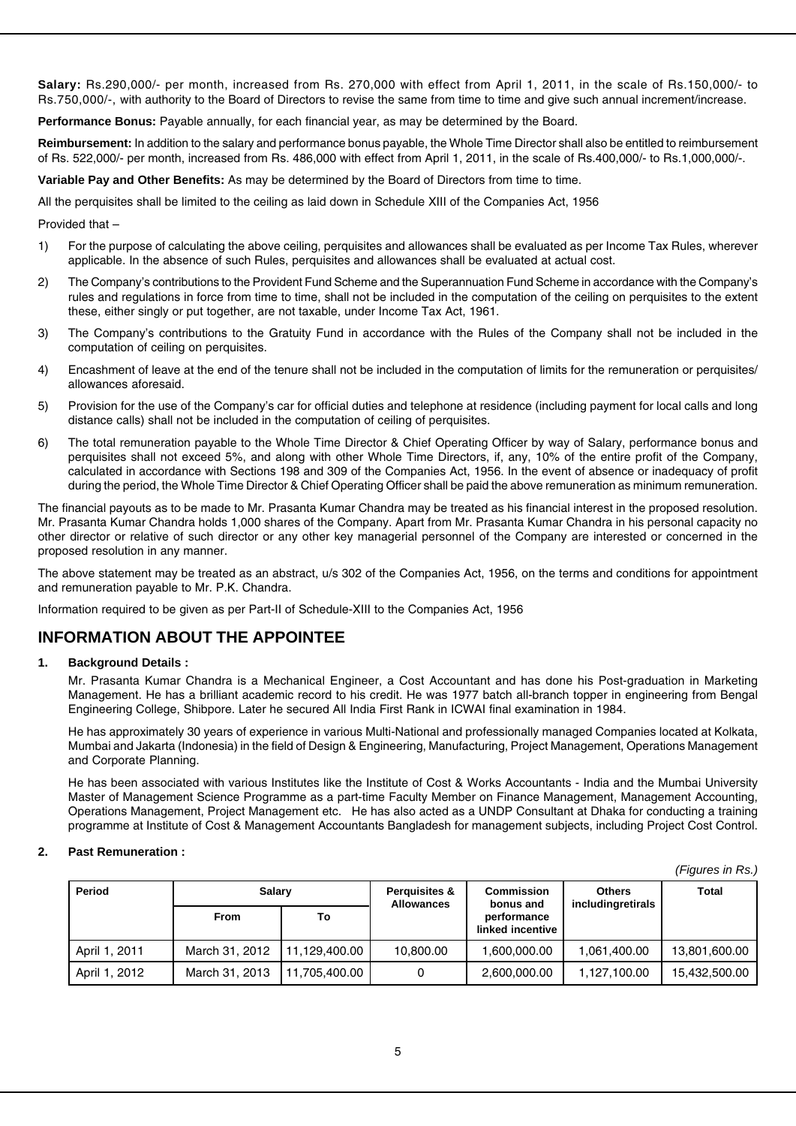**Salary:** Rs.290,000/- per month, increased from Rs. 270,000 with effect from April 1, 2011, in the scale of Rs.150,000/- to Rs.750,000/-, with authority to the Board of Directors to revise the same from time to time and give such annual increment/increase.

**Performance Bonus:** Payable annually, for each financial year, as may be determined by the Board.

**Reimbursement:** In addition to the salary and performance bonus payable, the Whole Time Director shall also be entitled to reimbursement of Rs. 522,000/- per month, increased from Rs. 486,000 with effect from April 1, 2011, in the scale of Rs.400,000/- to Rs.1,000,000/-.

**Variable Pay and Other Benefits:** As may be determined by the Board of Directors from time to time.

All the perquisites shall be limited to the ceiling as laid down in Schedule XIII of the Companies Act, 1956

Provided that –

- 1) For the purpose of calculating the above ceiling, perquisites and allowances shall be evaluated as per Income Tax Rules, wherever applicable. In the absence of such Rules, perquisites and allowances shall be evaluated at actual cost.
- 2) The Company's contributions to the Provident Fund Scheme and the Superannuation Fund Scheme in accordance with the Company's rules and regulations in force from time to time, shall not be included in the computation of the ceiling on perquisites to the extent these, either singly or put together, are not taxable, under Income Tax Act, 1961.
- 3) The Company's contributions to the Gratuity Fund in accordance with the Rules of the Company shall not be included in the computation of ceiling on perquisites.
- 4) Encashment of leave at the end of the tenure shall not be included in the computation of limits for the remuneration or perquisites/ allowances aforesaid.
- 5) Provision for the use of the Company's car for official duties and telephone at residence (including payment for local calls and long distance calls) shall not be included in the computation of ceiling of perquisites.
- 6) The total remuneration payable to the Whole Time Director & Chief Operating Officer by way of Salary, performance bonus and perquisites shall not exceed 5%, and along with other Whole Time Directors, if, any, 10% of the entire profit of the Company, calculated in accordance with Sections 198 and 309 of the Companies Act, 1956. In the event of absence or inadequacy of profit during the period, the Whole Time Director & Chief Operating Officer shall be paid the above remuneration as minimum remuneration.

The financial payouts as to be made to Mr. Prasanta Kumar Chandra may be treated as his financial interest in the proposed resolution. Mr. Prasanta Kumar Chandra holds 1,000 shares of the Company. Apart from Mr. Prasanta Kumar Chandra in his personal capacity no other director or relative of such director or any other key managerial personnel of the Company are interested or concerned in the proposed resolution in any manner.

The above statement may be treated as an abstract, u/s 302 of the Companies Act, 1956, on the terms and conditions for appointment and remuneration payable to Mr. P.K. Chandra.

Information required to be given as per Part-II of Schedule-XIII to the Companies Act, 1956

# **INFORMATION ABOUT THE APPOINTEE**

#### **1. Background Details :**

Mr. Prasanta Kumar Chandra is a Mechanical Engineer, a Cost Accountant and has done his Post-graduation in Marketing Management. He has a brilliant academic record to his credit. He was 1977 batch all-branch topper in engineering from Bengal Engineering College, Shibpore. Later he secured All India First Rank in ICWAI final examination in 1984.

He has approximately 30 years of experience in various Multi-National and professionally managed Companies located at Kolkata, Mumbai and Jakarta (Indonesia) in the field of Design & Engineering, Manufacturing, Project Management, Operations Management and Corporate Planning.

He has been associated with various Institutes like the Institute of Cost & Works Accountants - India and the Mumbai University Master of Management Science Programme as a part-time Faculty Member on Finance Management, Management Accounting, Operations Management, Project Management etc. He has also acted as a UNDP Consultant at Dhaka for conducting a training programme at Institute of Cost & Management Accountants Bangladesh for management subjects, including Project Cost Control.

#### **2. Past Remuneration :**

| Period        | <b>Salary</b>  |                | Perquisites &<br><b>Allowances</b> | <b>Commission</b><br>bonus and  | <b>Others</b><br>includingretirals | Total         |
|---------------|----------------|----------------|------------------------------------|---------------------------------|------------------------------------|---------------|
|               | <b>From</b>    | То             |                                    | performance<br>linked incentive |                                    |               |
| April 1, 2011 | March 31, 2012 | 111.129.400.00 | 10,800.00                          | 1,600,000.00                    | 1.061.400.00                       | 13,801,600.00 |
| April 1, 2012 | March 31, 2013 | 11,705,400.00  | 0                                  | 2,600,000.00                    | 1.127.100.00                       | 15.432.500.00 |

*(Figures in Rs.)*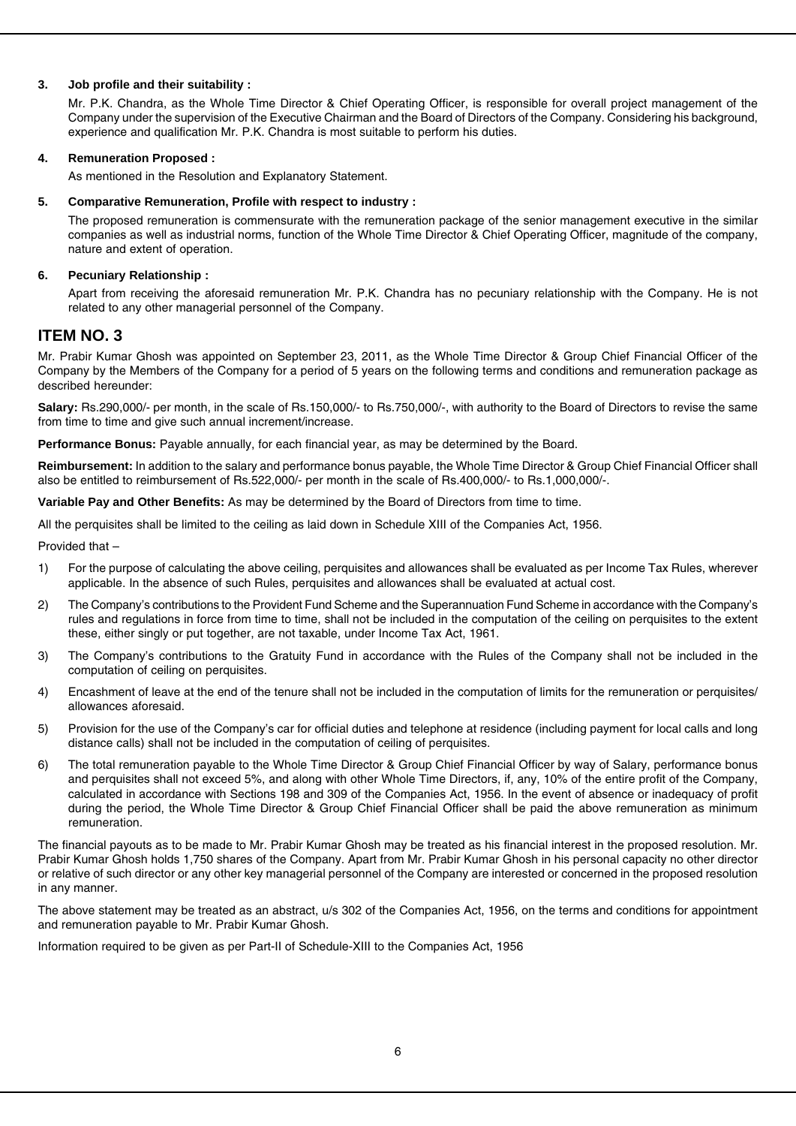#### **3. Job profile and their suitability :**

Mr. P.K. Chandra, as the Whole Time Director & Chief Operating Officer, is responsible for overall project management of the Company under the supervision of the Executive Chairman and the Board of Directors of the Company. Considering his background, experience and qualification Mr. P.K. Chandra is most suitable to perform his duties.

#### **4. Remuneration Proposed :**

As mentioned in the Resolution and Explanatory Statement.

#### **5. Comparative Remuneration, Profile with respect to industry :**

The proposed remuneration is commensurate with the remuneration package of the senior management executive in the similar companies as well as industrial norms, function of the Whole Time Director & Chief Operating Officer, magnitude of the company, nature and extent of operation.

#### **6. Pecuniary Relationship :**

Apart from receiving the aforesaid remuneration Mr. P.K. Chandra has no pecuniary relationship with the Company. He is not related to any other managerial personnel of the Company.

## **ITEM NO. 3**

Mr. Prabir Kumar Ghosh was appointed on September 23, 2011, as the Whole Time Director & Group Chief Financial Officer of the Company by the Members of the Company for a period of 5 years on the following terms and conditions and remuneration package as described hereunder:

**Salary:** Rs.290,000/- per month, in the scale of Rs.150,000/- to Rs.750,000/-, with authority to the Board of Directors to revise the same from time to time and give such annual increment/increase.

**Performance Bonus:** Payable annually, for each financial year, as may be determined by the Board.

**Reimbursement:** In addition to the salary and performance bonus payable, the Whole Time Director & Group Chief Financial Officer shall also be entitled to reimbursement of Rs.522,000/- per month in the scale of Rs.400,000/- to Rs.1,000,000/-.

**Variable Pay and Other Benefits:** As may be determined by the Board of Directors from time to time.

All the perquisites shall be limited to the ceiling as laid down in Schedule XIII of the Companies Act, 1956.

Provided that –

- 1) For the purpose of calculating the above ceiling, perquisites and allowances shall be evaluated as per Income Tax Rules, wherever applicable. In the absence of such Rules, perquisites and allowances shall be evaluated at actual cost.
- 2) The Company's contributions to the Provident Fund Scheme and the Superannuation Fund Scheme in accordance with the Company's rules and regulations in force from time to time, shall not be included in the computation of the ceiling on perquisites to the extent these, either singly or put together, are not taxable, under Income Tax Act, 1961.
- 3) The Company's contributions to the Gratuity Fund in accordance with the Rules of the Company shall not be included in the computation of ceiling on perquisites.
- 4) Encashment of leave at the end of the tenure shall not be included in the computation of limits for the remuneration or perquisites/ allowances aforesaid.
- 5) Provision for the use of the Company's car for official duties and telephone at residence (including payment for local calls and long distance calls) shall not be included in the computation of ceiling of perquisites.
- 6) The total remuneration payable to the Whole Time Director & Group Chief Financial Officer by way of Salary, performance bonus and perquisites shall not exceed 5%, and along with other Whole Time Directors, if, any, 10% of the entire profit of the Company, calculated in accordance with Sections 198 and 309 of the Companies Act, 1956. In the event of absence or inadequacy of profit during the period, the Whole Time Director & Group Chief Financial Officer shall be paid the above remuneration as minimum remuneration.

The financial payouts as to be made to Mr. Prabir Kumar Ghosh may be treated as his financial interest in the proposed resolution. Mr. Prabir Kumar Ghosh holds 1,750 shares of the Company. Apart from Mr. Prabir Kumar Ghosh in his personal capacity no other director or relative of such director or any other key managerial personnel of the Company are interested or concerned in the proposed resolution in any manner.

The above statement may be treated as an abstract, u/s 302 of the Companies Act, 1956, on the terms and conditions for appointment and remuneration payable to Mr. Prabir Kumar Ghosh.

Information required to be given as per Part-II of Schedule-XIII to the Companies Act, 1956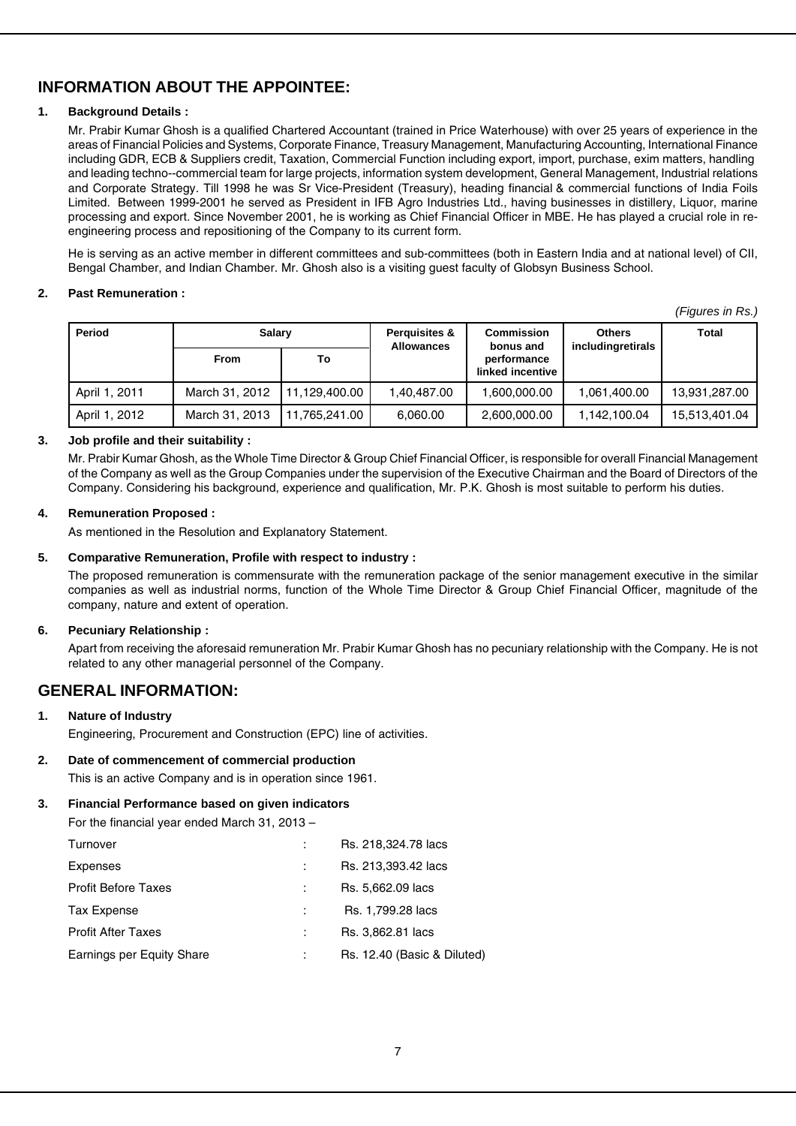# **INFORMATION ABOUT THE APPOINTEE:**

## **1. Background Details :**

Mr. Prabir Kumar Ghosh is a qualified Chartered Accountant (trained in Price Waterhouse) with over 25 years of experience in the areas of Financial Policies and Systems, Corporate Finance, Treasury Management, Manufacturing Accounting, International Finance including GDR, ECB & Suppliers credit, Taxation, Commercial Function including export, import, purchase, exim matters, handling and leading techno--commercial team for large projects, information system development, General Management, Industrial relations and Corporate Strategy. Till 1998 he was Sr Vice-President (Treasury), heading financial & commercial functions of India Foils Limited. Between 1999-2001 he served as President in IFB Agro Industries Ltd., having businesses in distillery, Liquor, marine processing and export. Since November 2001, he is working as Chief Financial Officer in MBE. He has played a crucial role in reengineering process and repositioning of the Company to its current form.

He is serving as an active member in different committees and sub-committees (both in Eastern India and at national level) of CII, Bengal Chamber, and Indian Chamber. Mr. Ghosh also is a visiting guest faculty of Globsyn Business School.

#### **2. Past Remuneration :**

*(Figures in Rs.)*

| Period        | <b>Salary</b>  |               | Perquisites &<br><b>Allowances</b> | <b>Commission</b><br>bonus and  | <b>Others</b><br>includingretirals | Total         |
|---------------|----------------|---------------|------------------------------------|---------------------------------|------------------------------------|---------------|
|               | <b>From</b>    | To            |                                    | performance<br>linked incentive |                                    |               |
| April 1, 2011 | March 31, 2012 | 11.129.400.00 | 1,40,487.00                        | 1,600,000.00                    | 1,061,400.00                       | 13,931,287.00 |
| April 1, 2012 | March 31, 2013 | 11.765.241.00 | 6.060.00                           | 2,600,000.00                    | 1.142.100.04                       | 15,513,401.04 |

#### **3. Job profile and their suitability :**

Mr. Prabir Kumar Ghosh, as the Whole Time Director & Group Chief Financial Officer, is responsible for overall Financial Management of the Company as well as the Group Companies under the supervision of the Executive Chairman and the Board of Directors of the Company. Considering his background, experience and qualification, Mr. P.K. Ghosh is most suitable to perform his duties.

#### **4. Remuneration Proposed :**

As mentioned in the Resolution and Explanatory Statement.

#### **5. Comparative Remuneration, Profile with respect to industry :**

The proposed remuneration is commensurate with the remuneration package of the senior management executive in the similar companies as well as industrial norms, function of the Whole Time Director & Group Chief Financial Officer, magnitude of the company, nature and extent of operation.

#### **6. Pecuniary Relationship :**

Apart from receiving the aforesaid remuneration Mr. Prabir Kumar Ghosh has no pecuniary relationship with the Company. He is not related to any other managerial personnel of the Company.

# **GENERAL INFORMATION:**

**1. Nature of Industry** Engineering, Procurement and Construction (EPC) line of activities.

## **2. Date of commencement of commercial production**

This is an active Company and is in operation since 1961.

#### **3. Financial Performance based on given indicators**

For the financial year ended March 31, 2013 –

| Turnover                   | Rs. 218,324.78 lacs         |
|----------------------------|-----------------------------|
| Expenses                   | Rs. 213,393.42 lacs         |
| <b>Profit Before Taxes</b> | Rs. 5,662.09 lacs           |
| <b>Tax Expense</b>         | Rs. 1,799.28 lacs           |
| <b>Profit After Taxes</b>  | Rs. 3,862.81 lacs           |
| Earnings per Equity Share  | Rs. 12.40 (Basic & Diluted) |